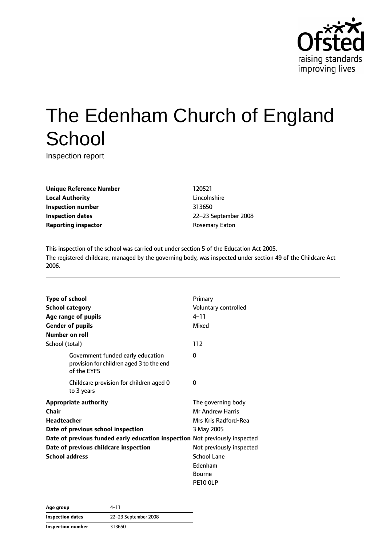

# The Edenham Church of England **School**

Inspection report

**Unique Reference Number** 120521 **Local Authority** Lincolnshire **Inspection number** 313650 **Inspection dates** 22–23 September 2008 **Reporting inspector CONSERVING REPORTING REPORTING REPORT** 

This inspection of the school was carried out under section 5 of the Education Act 2005. The registered childcare, managed by the governing body, was inspected under section 49 of the Childcare Act 2006.

| <b>Type of school</b>                                                                        | Primary                  |
|----------------------------------------------------------------------------------------------|--------------------------|
| <b>School category</b>                                                                       | Voluntary controlled     |
| Age range of pupils                                                                          | $4 - 11$                 |
| <b>Gender of pupils</b>                                                                      | Mixed                    |
| Number on roll                                                                               |                          |
| School (total)                                                                               | 112                      |
| Government funded early education<br>provision for children aged 3 to the end<br>of the EYFS | 0                        |
| Childcare provision for children aged 0<br>to 3 years                                        | $\Omega$                 |
| <b>Appropriate authority</b>                                                                 | The governing body       |
| <b>Chair</b>                                                                                 | <b>Mr Andrew Harris</b>  |
| <b>Headteacher</b>                                                                           | Mrs Kris Radford-Rea     |
| Date of previous school inspection                                                           | 3 May 2005               |
| Date of previous funded early education inspection Not previously inspected                  |                          |
| Date of previous childcare inspection                                                        | Not previously inspected |
| <b>School address</b>                                                                        | <b>School Lane</b>       |
|                                                                                              | Edenham                  |
|                                                                                              | <b>Bourne</b>            |
|                                                                                              | PE10 OLP                 |

| Age group                | 4–11                 |
|--------------------------|----------------------|
| <b>Inspection dates</b>  | 22-23 September 2008 |
| <b>Inspection number</b> | 313650               |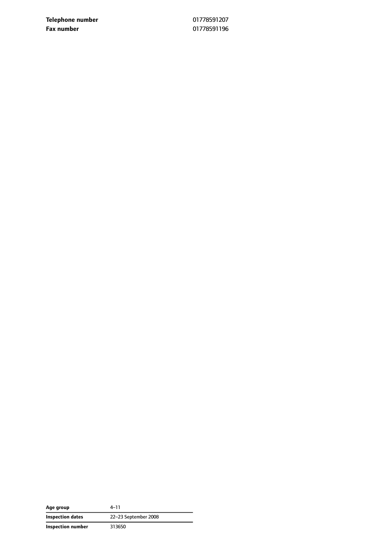**Telephone number** 01778591207 **Fax number** 01778591196

| Age group         | $4 - 11$             |
|-------------------|----------------------|
| Inspection dates  | 22-23 September 2008 |
| Inspection number | 313650               |

 $\overline{\phantom{0}}$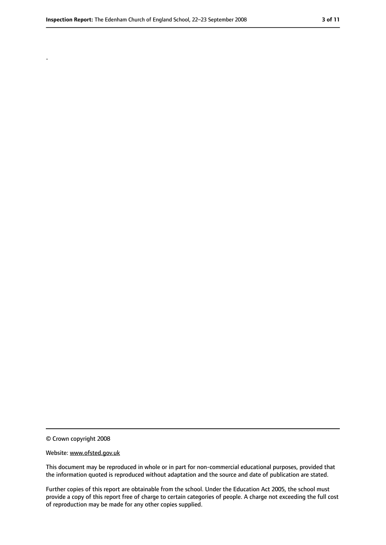.

<sup>©</sup> Crown copyright 2008

Website: www.ofsted.gov.uk

This document may be reproduced in whole or in part for non-commercial educational purposes, provided that the information quoted is reproduced without adaptation and the source and date of publication are stated.

Further copies of this report are obtainable from the school. Under the Education Act 2005, the school must provide a copy of this report free of charge to certain categories of people. A charge not exceeding the full cost of reproduction may be made for any other copies supplied.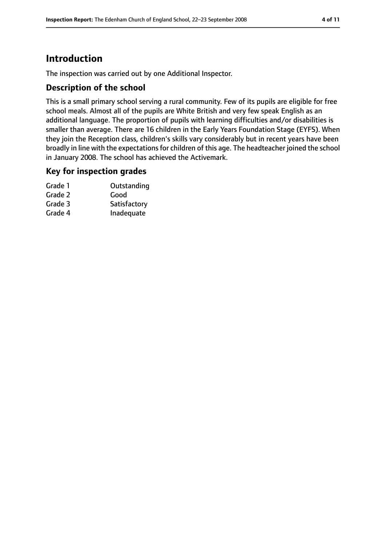# **Introduction**

The inspection was carried out by one Additional Inspector.

#### **Description of the school**

This is a small primary school serving a rural community. Few of its pupils are eligible for free school meals. Almost all of the pupils are White British and very few speak English as an additional language. The proportion of pupils with learning difficulties and/or disabilities is smaller than average. There are 16 children in the Early Years Foundation Stage (EYFS). When they join the Reception class, children's skills vary considerably but in recent years have been broadly in line with the expectations for children of this age. The headteacher joined the school in January 2008. The school has achieved the Activemark.

#### **Key for inspection grades**

| Outstanding  |
|--------------|
| Good         |
| Satisfactory |
| Inadequate   |
|              |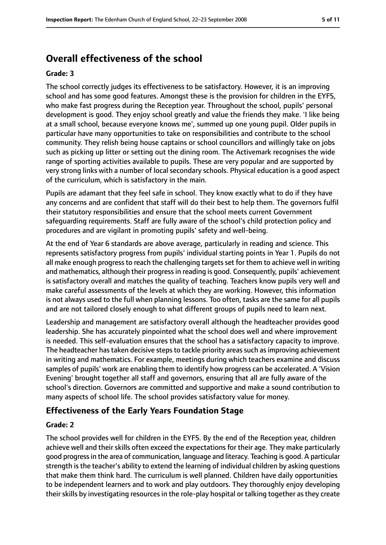# **Overall effectiveness of the school**

#### **Grade: 3**

The school correctly judges its effectiveness to be satisfactory. However, it is an improving school and has some good features. Amongst these is the provision for children in the EYFS, who make fast progress during the Reception year. Throughout the school, pupils' personal development is good. They enjoy school greatly and value the friends they make. 'I like being at a small school, because everyone knows me', summed up one young pupil. Older pupils in particular have many opportunities to take on responsibilities and contribute to the school community. They relish being house captains or school councillors and willingly take on jobs such as picking up litter or setting out the dining room. The Activemark recognises the wide range of sporting activities available to pupils. These are very popular and are supported by very strong links with a number of local secondary schools. Physical education is a good aspect of the curriculum, which is satisfactory in the main.

Pupils are adamant that they feel safe in school. They know exactly what to do if they have any concerns and are confident that staff will do their best to help them. The governors fulfil their statutory responsibilities and ensure that the school meets current Government safeguarding requirements. Staff are fully aware of the school's child protection policy and procedures and are vigilant in promoting pupils' safety and well-being.

At the end of Year 6 standards are above average, particularly in reading and science. This represents satisfactory progress from pupils' individual starting points in Year 1. Pupils do not all make enough progress to reach the challenging targets set for them to achieve well in writing and mathematics, although their progress in reading is good. Consequently, pupils' achievement is satisfactory overall and matches the quality of teaching. Teachers know pupils very well and make careful assessments of the levels at which they are working. However, this information is not always used to the full when planning lessons. Too often, tasks are the same for all pupils and are not tailored closely enough to what different groups of pupils need to learn next.

Leadership and management are satisfactory overall although the headteacher provides good leadership. She has accurately pinpointed what the school does well and where improvement is needed. This self-evaluation ensures that the school has a satisfactory capacity to improve. The headteacher has taken decisive steps to tackle priority areas such as improving achievement in writing and mathematics. For example, meetings during which teachers examine and discuss samples of pupils' work are enabling them to identify how progress can be accelerated. A 'Vision Evening' brought together all staff and governors, ensuring that all are fully aware of the school's direction. Governors are committed and supportive and make a sound contribution to many aspects of school life. The school provides satisfactory value for money.

#### **Effectiveness of the Early Years Foundation Stage**

#### **Grade: 2**

The school provides well for children in the EYFS. By the end of the Reception year, children achieve well and their skills often exceed the expectations for their age. They make particularly good progressin the area of communication, language and literacy. Teaching is good. A particular strength is the teacher's ability to extend the learning of individual children by asking questions that make them think hard. The curriculum is well planned. Children have daily opportunities to be independent learners and to work and play outdoors. They thoroughly enjoy developing their skills by investigating resources in the role-play hospital or talking together as they create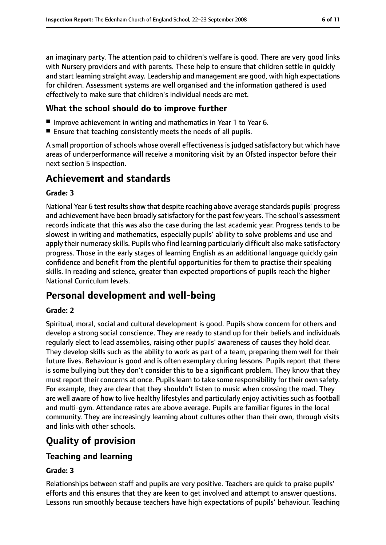an imaginary party. The attention paid to children's welfare is good. There are very good links with Nursery providers and with parents. These help to ensure that children settle in quickly and start learning straight away. Leadership and management are good, with high expectations for children. Assessment systems are well organised and the information gathered is used effectively to make sure that children's individual needs are met.

## **What the school should do to improve further**

- Improve achievement in writing and mathematics in Year 1 to Year 6.
- Ensure that teaching consistently meets the needs of all pupils.

A small proportion of schools whose overall effectiveness is judged satisfactory but which have areas of underperformance will receive a monitoring visit by an Ofsted inspector before their next section 5 inspection.

# **Achievement and standards**

#### **Grade: 3**

National Year 6 test results show that despite reaching above average standards pupils' progress and achievement have been broadly satisfactory for the past few years. The school's assessment records indicate that this was also the case during the last academic year. Progress tends to be slowest in writing and mathematics, especially pupils' ability to solve problems and use and apply their numeracy skills. Pupils who find learning particularly difficult also make satisfactory progress. Those in the early stages of learning English as an additional language quickly gain confidence and benefit from the plentiful opportunities for them to practise their speaking skills. In reading and science, greater than expected proportions of pupils reach the higher National Curriculum levels.

# **Personal development and well-being**

#### **Grade: 2**

Spiritual, moral, social and cultural development is good. Pupils show concern for others and develop a strong social conscience. They are ready to stand up for their beliefs and individuals regularly elect to lead assemblies, raising other pupils' awareness of causes they hold dear. They develop skills such as the ability to work as part of a team, preparing them well for their future lives. Behaviour is good and is often exemplary during lessons. Pupils report that there is some bullying but they don't consider this to be a significant problem. They know that they must report their concerns at once. Pupilslearn to take some responsibility for their own safety. For example, they are clear that they shouldn't listen to music when crossing the road. They are well aware of how to live healthy lifestyles and particularly enjoy activities such as football and multi-gym. Attendance rates are above average. Pupils are familiar figures in the local community. They are increasingly learning about cultures other than their own, through visits and links with other schools.

# **Quality of provision**

## **Teaching and learning**

#### **Grade: 3**

Relationships between staff and pupils are very positive. Teachers are quick to praise pupils' efforts and this ensures that they are keen to get involved and attempt to answer questions. Lessons run smoothly because teachers have high expectations of pupils' behaviour. Teaching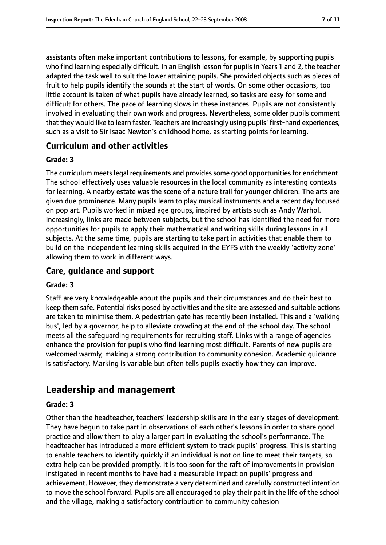assistants often make important contributions to lessons, for example, by supporting pupils who find learning especially difficult. In an English lesson for pupils in Years 1 and 2, the teacher adapted the task well to suit the lower attaining pupils. She provided objects such as pieces of fruit to help pupils identify the sounds at the start of words. On some other occasions, too little account is taken of what pupils have already learned, so tasks are easy for some and difficult for others. The pace of learning slows in these instances. Pupils are not consistently involved in evaluating their own work and progress. Nevertheless, some older pupils comment that they would like to learn faster. Teachers are increasingly using pupils' first-hand experiences, such as a visit to Sir Isaac Newton's childhood home, as starting points for learning.

#### **Curriculum and other activities**

#### **Grade: 3**

The curriculum meets legal requirements and provides some good opportunities for enrichment. The school effectively uses valuable resources in the local community as interesting contexts for learning. A nearby estate was the scene of a nature trail for younger children. The arts are given due prominence. Many pupils learn to play musical instruments and a recent day focused on pop art. Pupils worked in mixed age groups, inspired by artists such as Andy Warhol. Increasingly, links are made between subjects, but the school has identified the need for more opportunities for pupils to apply their mathematical and writing skills during lessons in all subjects. At the same time, pupils are starting to take part in activities that enable them to build on the independent learning skills acquired in the EYFS with the weekly 'activity zone' allowing them to work in different ways.

### **Care, guidance and support**

#### **Grade: 3**

Staff are very knowledgeable about the pupils and their circumstances and do their best to keep them safe. Potential risks posed by activities and the site are assessed and suitable actions are taken to minimise them. A pedestrian gate has recently been installed. This and a 'walking bus', led by a governor, help to alleviate crowding at the end of the school day. The school meets all the safeguarding requirements for recruiting staff. Links with a range of agencies enhance the provision for pupils who find learning most difficult. Parents of new pupils are welcomed warmly, making a strong contribution to community cohesion. Academic guidance is satisfactory. Marking is variable but often tells pupils exactly how they can improve.

# **Leadership and management**

#### **Grade: 3**

Other than the headteacher, teachers' leadership skills are in the early stages of development. They have begun to take part in observations of each other's lessons in order to share good practice and allow them to play a larger part in evaluating the school's performance. The headteacher has introduced a more efficient system to track pupils' progress. This is starting to enable teachers to identify quickly if an individual is not on line to meet their targets, so extra help can be provided promptly. It is too soon for the raft of improvements in provision instigated in recent months to have had a measurable impact on pupils' progress and achievement. However, they demonstrate a very determined and carefully constructed intention to move the school forward. Pupils are all encouraged to play their part in the life of the school and the village, making a satisfactory contribution to community cohesion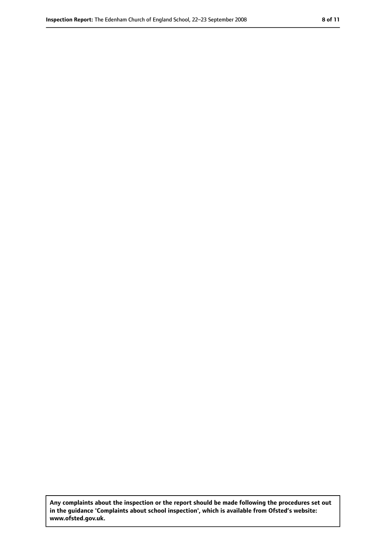**Any complaints about the inspection or the report should be made following the procedures set out in the guidance 'Complaints about school inspection', which is available from Ofsted's website: www.ofsted.gov.uk.**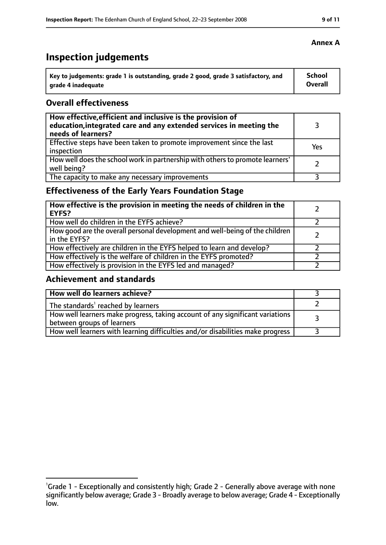# **Inspection judgements**

| Key to judgements: grade 1 is outstanding, grade 2 good, grade 3 satisfactory, and | <b>School</b>  |
|------------------------------------------------------------------------------------|----------------|
| arade 4 inadequate                                                                 | <b>Overall</b> |

#### **Overall effectiveness**

| How effective, efficient and inclusive is the provision of<br>education, integrated care and any extended services in meeting the<br>needs of learners? |     |
|---------------------------------------------------------------------------------------------------------------------------------------------------------|-----|
| Effective steps have been taken to promote improvement since the last<br>inspection                                                                     | Yes |
| How well does the school work in partnership with others to promote learners'<br>well being?                                                            |     |
| The capacity to make any necessary improvements                                                                                                         |     |

## **Effectiveness of the Early Years Foundation Stage**

| How effective is the provision in meeting the needs of children in the<br>l EYFS?            |  |
|----------------------------------------------------------------------------------------------|--|
| How well do children in the EYFS achieve?                                                    |  |
| How good are the overall personal development and well-being of the children<br>in the EYFS? |  |
| How effectively are children in the EYFS helped to learn and develop?                        |  |
| How effectively is the welfare of children in the EYFS promoted?                             |  |
| How effectively is provision in the EYFS led and managed?                                    |  |

## **Achievement and standards**

| How well do learners achieve?                                                                               |  |
|-------------------------------------------------------------------------------------------------------------|--|
| The standards <sup>1</sup> reached by learners                                                              |  |
| How well learners make progress, taking account of any significant variations<br>between groups of learners |  |
| How well learners with learning difficulties and/or disabilities make progress                              |  |

<sup>&</sup>lt;sup>1</sup>Grade 1 - Exceptionally and consistently high; Grade 2 - Generally above average with none significantly below average; Grade 3 - Broadly average to below average; Grade 4 - Exceptionally low.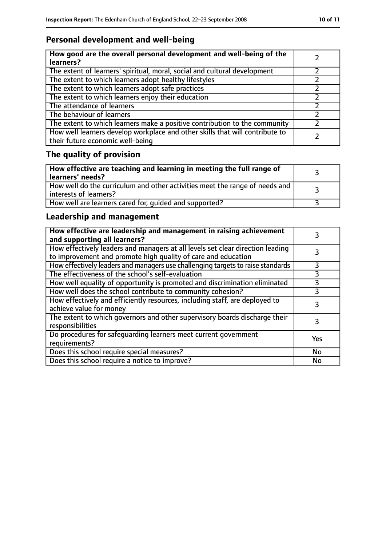## **Personal development and well-being**

| How good are the overall personal development and well-being of the<br>learners?                                 |  |
|------------------------------------------------------------------------------------------------------------------|--|
| The extent of learners' spiritual, moral, social and cultural development                                        |  |
| The extent to which learners adopt healthy lifestyles                                                            |  |
| The extent to which learners adopt safe practices                                                                |  |
| The extent to which learners enjoy their education                                                               |  |
| The attendance of learners                                                                                       |  |
| The behaviour of learners                                                                                        |  |
| The extent to which learners make a positive contribution to the community                                       |  |
| How well learners develop workplace and other skills that will contribute to<br>their future economic well-being |  |

# **The quality of provision**

| $\mid$ How effective are teaching and learning in meeting the full range of<br>  learners' needs?       |  |
|---------------------------------------------------------------------------------------------------------|--|
| How well do the curriculum and other activities meet the range of needs and<br>  interests of learners? |  |
| How well are learners cared for, quided and supported?                                                  |  |

## **Leadership and management**

| How effective are leadership and management in raising achievement<br>and supporting all learners?                                              |     |
|-------------------------------------------------------------------------------------------------------------------------------------------------|-----|
| How effectively leaders and managers at all levels set clear direction leading<br>to improvement and promote high quality of care and education |     |
| How effectively leaders and managers use challenging targets to raise standards                                                                 | 3   |
| The effectiveness of the school's self-evaluation                                                                                               | 3   |
| How well equality of opportunity is promoted and discrimination eliminated                                                                      | 3   |
| How well does the school contribute to community cohesion?                                                                                      | 3   |
| How effectively and efficiently resources, including staff, are deployed to<br>achieve value for money                                          |     |
| The extent to which governors and other supervisory boards discharge their<br>responsibilities                                                  | 3   |
| Do procedures for safequarding learners meet current government<br>requirements?                                                                | Yes |
| Does this school require special measures?                                                                                                      | No  |
| Does this school require a notice to improve?                                                                                                   | No  |